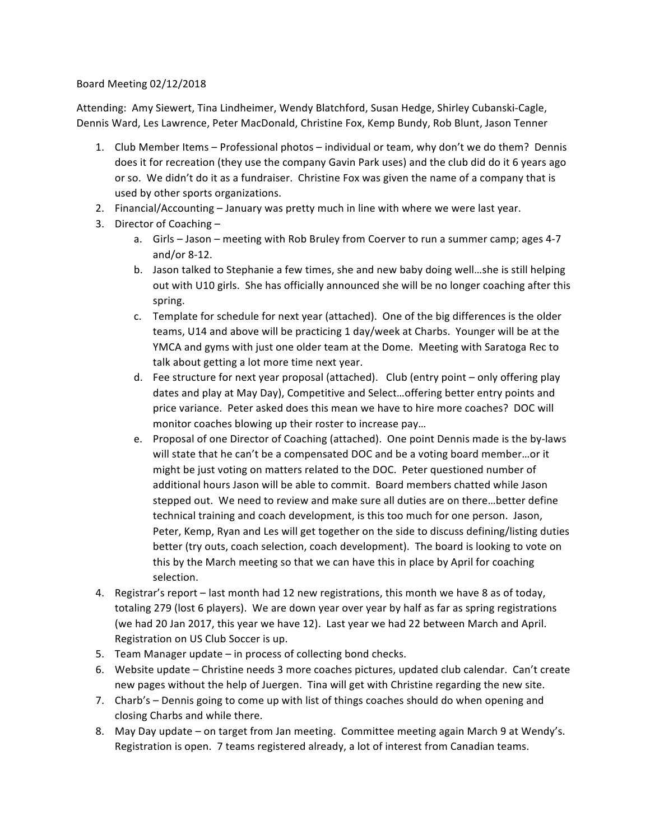## Board Meeting 02/12/2018

Attending: Amy Siewert, Tina Lindheimer, Wendy Blatchford, Susan Hedge, Shirley Cubanski-Cagle, Dennis Ward, Les Lawrence, Peter MacDonald, Christine Fox, Kemp Bundy, Rob Blunt, Jason Tenner

- 1. Club Member Items Professional photos individual or team, why don't we do them? Dennis does it for recreation (they use the company Gavin Park uses) and the club did do it 6 years ago or so. We didn't do it as a fundraiser. Christine Fox was given the name of a company that is used by other sports organizations.
- 2. Financial/Accounting January was pretty much in line with where we were last year.
- 3. Director of Coaching  $$ 
	- a. Girls Jason meeting with Rob Bruley from Coerver to run a summer camp; ages 4-7 and/or  $8-12$ .
	- b. Jason talked to Stephanie a few times, she and new baby doing well...she is still helping out with U10 girls. She has officially announced she will be no longer coaching after this spring.
	- c. Template for schedule for next year (attached). One of the big differences is the older teams, U14 and above will be practicing 1 day/week at Charbs. Younger will be at the YMCA and gyms with just one older team at the Dome. Meeting with Saratoga Rec to talk about getting a lot more time next year.
	- d. Fee structure for next year proposal (attached). Club (entry point only offering play dates and play at May Day), Competitive and Select... offering better entry points and price variance. Peter asked does this mean we have to hire more coaches? DOC will monitor coaches blowing up their roster to increase pay...
	- e. Proposal of one Director of Coaching (attached). One point Dennis made is the by-laws will state that he can't be a compensated DOC and be a voting board member...or it might be just voting on matters related to the DOC. Peter questioned number of additional hours Jason will be able to commit. Board members chatted while Jason stepped out. We need to review and make sure all duties are on there...better define technical training and coach development, is this too much for one person. Jason, Peter, Kemp, Ryan and Les will get together on the side to discuss defining/listing duties better (try outs, coach selection, coach development). The board is looking to vote on this by the March meeting so that we can have this in place by April for coaching selection.
- 4. Registrar's report last month had 12 new registrations, this month we have 8 as of today, totaling 279 (lost 6 players). We are down year over year by half as far as spring registrations (we had 20 Jan 2017, this year we have 12). Last year we had 22 between March and April. Registration on US Club Soccer is up.
- 5. Team Manager update  $-$  in process of collecting bond checks.
- 6. Website update Christine needs 3 more coaches pictures, updated club calendar. Can't create new pages without the help of Juergen. Tina will get with Christine regarding the new site.
- 7. Charb's Dennis going to come up with list of things coaches should do when opening and closing Charbs and while there.
- 8. May Day update on target from Jan meeting. Committee meeting again March 9 at Wendy's. Registration is open. 7 teams registered already, a lot of interest from Canadian teams.